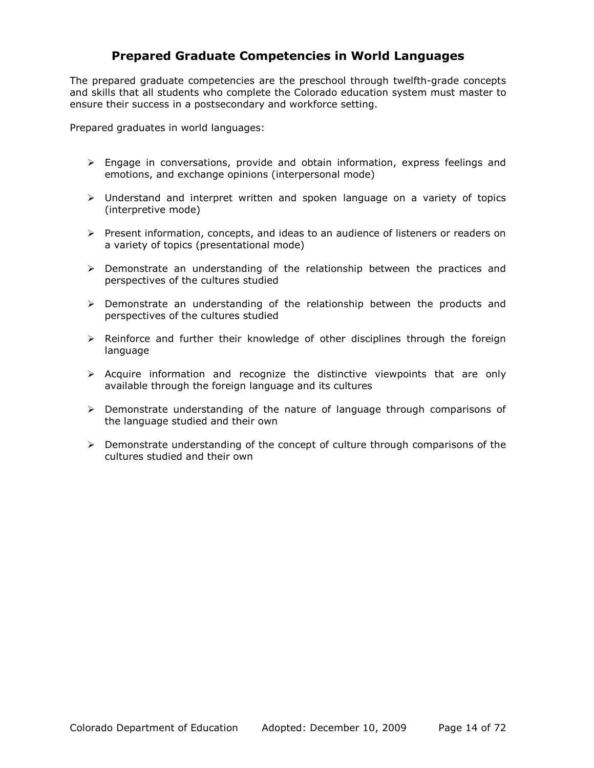## **Prepared Graduate Competencies in World Languages**

The prepared graduate competencies are the preschool through twelfth-grade concepts and skills that all students who complete the Colorado education system must master to ensure their success in a postsecondary and workforce setting.

Prepared graduates in world languages:

- $\triangleright$  Engage in conversations, provide and obtain information, express feelings and emotions, and exchange opinions (interpersonal mode)
- $\triangleright$  Understand and interpret written and spoken language on a variety of topics (interpretive mode)
- ¾ Present information, concepts, and ideas to an audience of listeners or readers on a variety of topics (presentational mode)
- $\triangleright$  Demonstrate an understanding of the relationship between the practices and perspectives of the cultures studied
- ¾ Demonstrate an understanding of the relationship between the products and perspectives of the cultures studied
- $\triangleright$  Reinforce and further their knowledge of other disciplines through the foreign language
- $\triangleright$  Acquire information and recognize the distinctive viewpoints that are only available through the foreign language and its cultures
- $\triangleright$  Demonstrate understanding of the nature of language through comparisons of the language studied and their own
- $\triangleright$  Demonstrate understanding of the concept of culture through comparisons of the cultures studied and their own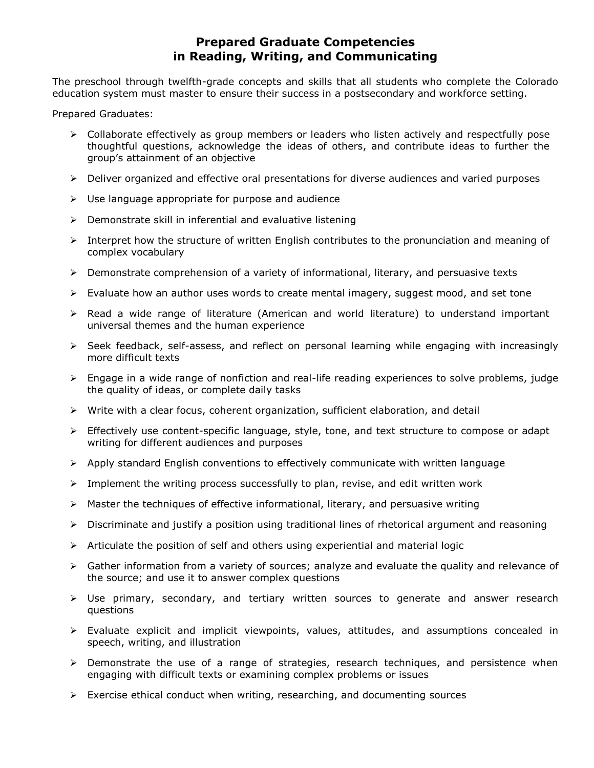## **Prepared Graduate Competencies in Reading, Writing, and Communicating**

The preschool through twelfth-grade concepts and skills that all students who complete the Colorado education system must master to ensure their success in a postsecondary and workforce setting.

Prepared Graduates:

- $\triangleright$  Collaborate effectively as group members or leaders who listen actively and respectfully pose thoughtful questions, acknowledge the ideas of others, and contribute ideas to further the group's attainment of an objective
- $\triangleright$  Deliver organized and effective oral presentations for diverse audiences and varied purposes
- $\triangleright$  Use language appropriate for purpose and audience
- $\triangleright$  Demonstrate skill in inferential and evaluative listening
- $\triangleright$  Interpret how the structure of written English contributes to the pronunciation and meaning of complex vocabulary
- $\triangleright$  Demonstrate comprehension of a variety of informational, literary, and persuasive texts
- ¾ Evaluate how an author uses words to create mental imagery, suggest mood, and set tone
- $\triangleright$  Read a wide range of literature (American and world literature) to understand important universal themes and the human experience
- ¾ Seek feedback, self-assess, and reflect on personal learning while engaging with increasingly more difficult texts
- $\triangleright$  Engage in a wide range of nonfiction and real-life reading experiences to solve problems, judge the quality of ideas, or complete daily tasks
- ¾ Write with a clear focus, coherent organization, sufficient elaboration, and detail
- ¾ Effectively use content-specific language, style, tone, and text structure to compose or adapt writing for different audiences and purposes
- $\triangleright$  Apply standard English conventions to effectively communicate with written language
- $\triangleright$  Implement the writing process successfully to plan, revise, and edit written work
- $\triangleright$  Master the techniques of effective informational, literary, and persuasive writing
- $\triangleright$  Discriminate and justify a position using traditional lines of rhetorical argument and reasoning
- $\triangleright$  Articulate the position of self and others using experiential and material logic
- $\triangleright$  Gather information from a variety of sources; analyze and evaluate the quality and relevance of the source; and use it to answer complex questions
- $\triangleright$  Use primary, secondary, and tertiary written sources to generate and answer research questions
- ¾ Evaluate explicit and implicit viewpoints, values, attitudes, and assumptions concealed in speech, writing, and illustration
- ¾ Demonstrate the use of a range of strategies, research techniques, and persistence when engaging with difficult texts or examining complex problems or issues
- $\triangleright$  Exercise ethical conduct when writing, researching, and documenting sources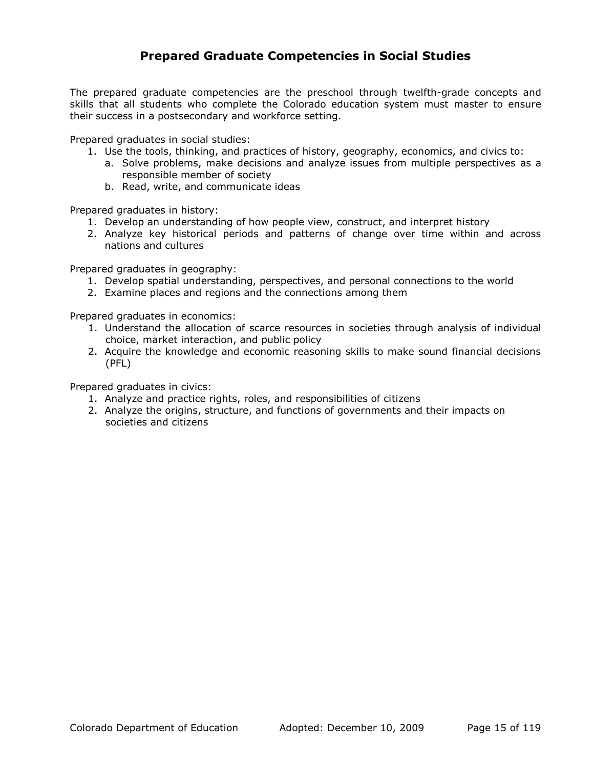### **Prepared Graduate Competencies in Social Studies**

The prepared graduate competencies are the preschool through twelfth-grade concepts and skills that all students who complete the Colorado education system must master to ensure their success in a postsecondary and workforce setting.

Prepared graduates in social studies:

- 1. Use the tools, thinking, and practices of history, geography, economics, and civics to:
	- a. Solve problems, make decisions and analyze issues from multiple perspectives as a responsible member of society
	- b. Read, write, and communicate ideas

Prepared graduates in history:

- 1. Develop an understanding of how people view, construct, and interpret history
- 2. Analyze key historical periods and patterns of change over time within and across nations and cultures

Prepared graduates in geography:

- 1. Develop spatial understanding, perspectives, and personal connections to the world
- 2. Examine places and regions and the connections among them

Prepared graduates in economics:

- 1. Understand the allocation of scarce resources in societies through analysis of individual choice, market interaction, and public policy
- 2. Acquire the knowledge and economic reasoning skills to make sound financial decisions (PFL)

Prepared graduates in civics:

- 1. Analyze and practice rights, roles, and responsibilities of citizens
- 2. Analyze the origins, structure, and functions of governments and their impacts on societies and citizens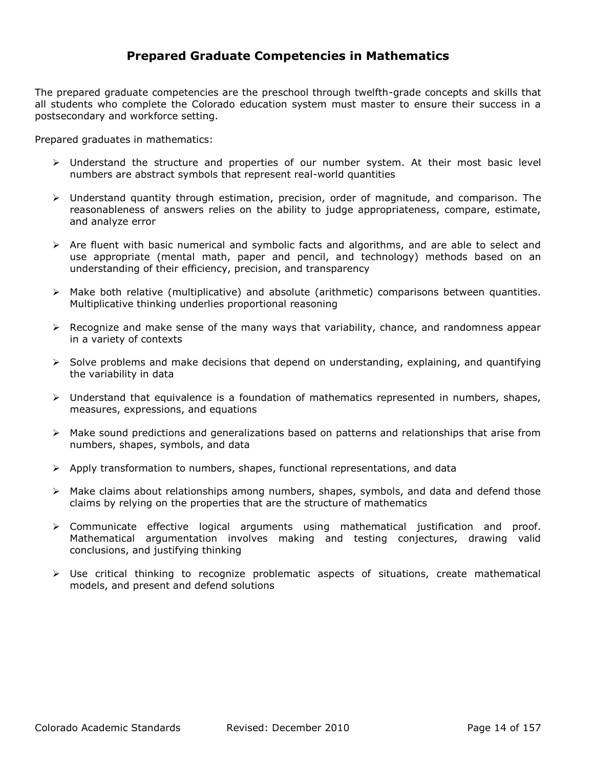#### **Prepared Graduate Competencies in Mathematics**

The prepared graduate competencies are the preschool through twelfth-grade concepts and skills that all students who complete the Colorado education system must master to ensure their success in a postsecondary and workforce setting.

Prepared graduates in mathematics:

- $\triangleright$  Understand the structure and properties of our number system. At their most basic level numbers are abstract symbols that represent real-world quantities
- $\triangleright$  Understand quantity through estimation, precision, order of magnitude, and comparison. The reasonableness of answers relies on the ability to judge appropriateness, compare, estimate, and analyze error
- $\triangleright$  Are fluent with basic numerical and symbolic facts and algorithms, and are able to select and use appropriate (mental math, paper and pencil, and technology) methods based on an understanding of their efficiency, precision, and transparency
- $\triangleright$  Make both relative (multiplicative) and absolute (arithmetic) comparisons between quantities. Multiplicative thinking underlies proportional reasoning
- $\triangleright$  Recognize and make sense of the many ways that variability, chance, and randomness appear in a variety of contexts
- $\triangleright$  Solve problems and make decisions that depend on understanding, explaining, and quantifying the variability in data
- $\triangleright$  Understand that equivalence is a foundation of mathematics represented in numbers, shapes, measures, expressions, and equations
- $\triangleright$  Make sound predictions and generalizations based on patterns and relationships that arise from numbers, shapes, symbols, and data
- $\triangleright$  Apply transformation to numbers, shapes, functional representations, and data
- $\triangleright$  Make claims about relationships among numbers, shapes, symbols, and data and defend those claims by relying on the properties that are the structure of mathematics
- $\triangleright$  Communicate effective logical arguments using mathematical justification and proof. Mathematical argumentation involves making and testing conjectures, drawing valid conclusions, and justifying thinking
- $\triangleright$  Use critical thinking to recognize problematic aspects of situations, create mathematical models, and present and defend solutions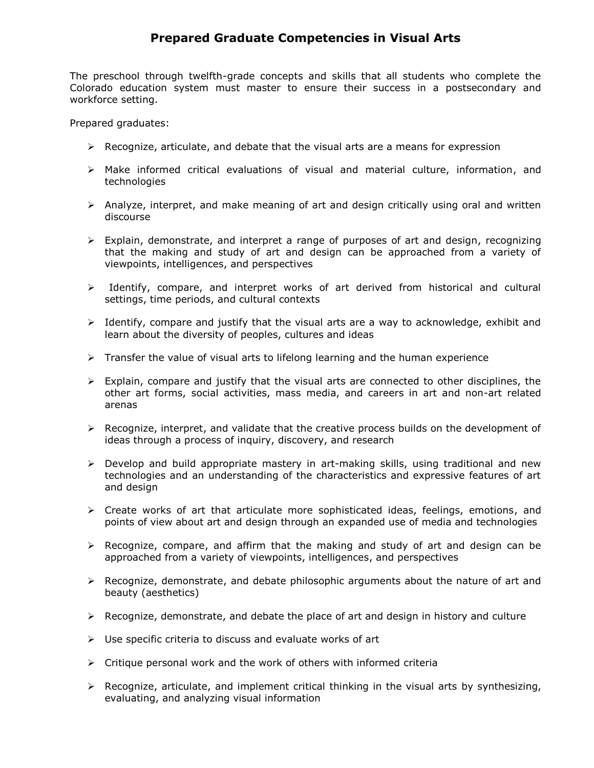## **Prepared Graduate Competencies in Visual Arts**

The preschool through twelfth-grade concepts and skills that all students who complete the Colorado education system must master to ensure their success in a postsecondary and workforce setting.

Prepared graduates:

- $\triangleright$  Recognize, articulate, and debate that the visual arts are a means for expression
- ¾ Make informed critical evaluations of visual and material culture, information, and technologies
- ¾ Analyze, interpret, and make meaning of art and design critically using oral and written discourse
- ¾ Explain, demonstrate, and interpret a range of purposes of art and design, recognizing that the making and study of art and design can be approached from a variety of viewpoints, intelligences, and perspectives
- ¾ Identify, compare, and interpret works of art derived from historical and cultural settings, time periods, and cultural contexts
- $\triangleright$  Identify, compare and justify that the visual arts are a way to acknowledge, exhibit and learn about the diversity of peoples, cultures and ideas
- $\triangleright$  Transfer the value of visual arts to lifelong learning and the human experience
- $\triangleright$  Explain, compare and justify that the visual arts are connected to other disciplines, the other art forms, social activities, mass media, and careers in art and non-art related arenas
- $\triangleright$  Recognize, interpret, and validate that the creative process builds on the development of ideas through a process of inquiry, discovery, and research
- $\triangleright$  Develop and build appropriate mastery in art-making skills, using traditional and new technologies and an understanding of the characteristics and expressive features of art and design
- $\triangleright$  Create works of art that articulate more sophisticated ideas, feelings, emotions, and points of view about art and design through an expanded use of media and technologies
- $\triangleright$  Recognize, compare, and affirm that the making and study of art and design can be approached from a variety of viewpoints, intelligences, and perspectives
- $\triangleright$  Recognize, demonstrate, and debate philosophic arguments about the nature of art and beauty (aesthetics)
- $\triangleright$  Recognize, demonstrate, and debate the place of art and design in history and culture
- $\triangleright$  Use specific criteria to discuss and evaluate works of art
- $\triangleright$  Critique personal work and the work of others with informed criteria
- $\triangleright$  Recognize, articulate, and implement critical thinking in the visual arts by synthesizing, evaluating, and analyzing visual information